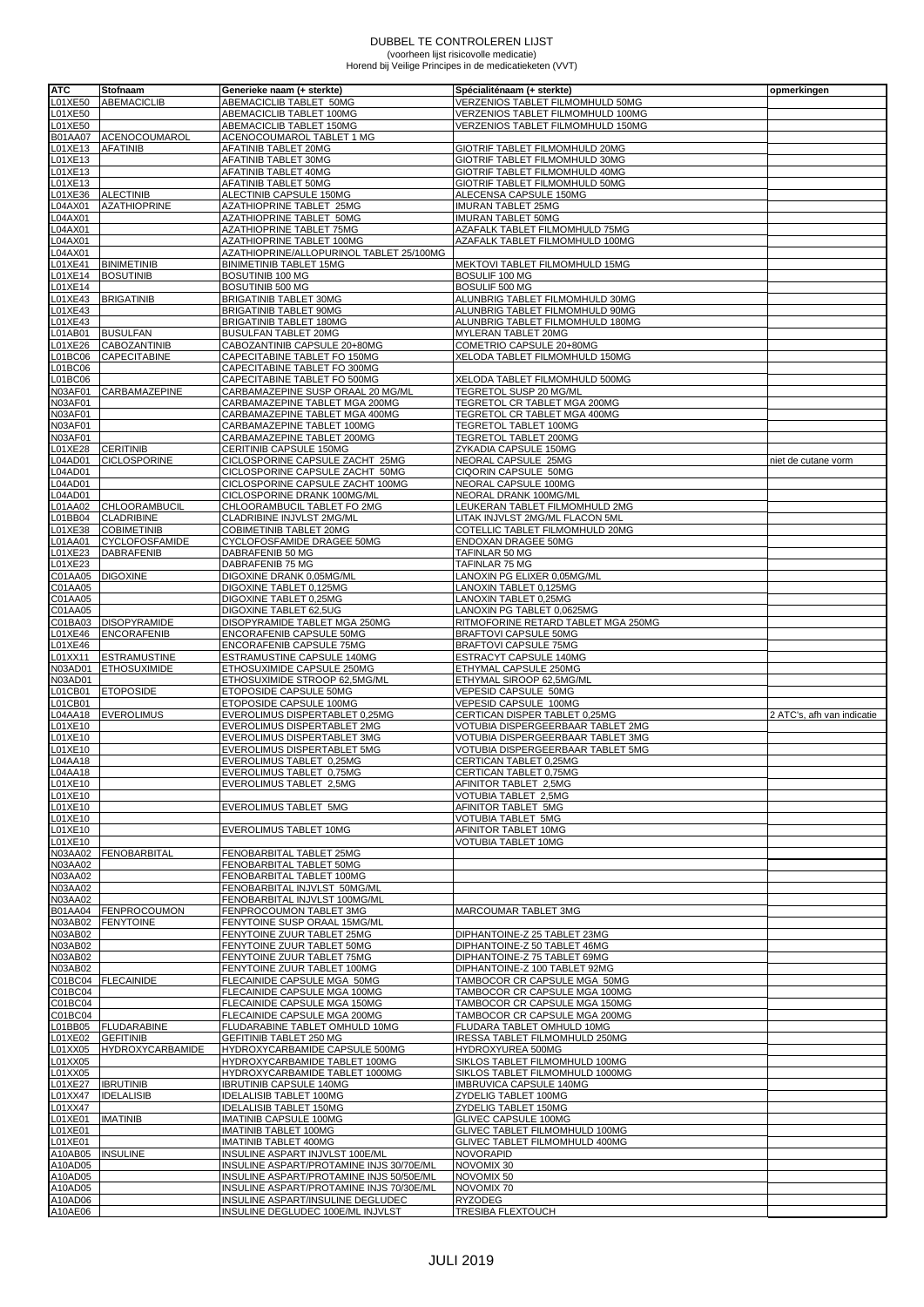## DUBBEL TE CONTROLEREN LIJST (voorheen lijst risicovolle medicatie) Horend bij Veilige Principes in de medicatieketen (VVT)

| <b>ATC</b>     | Stofnaam                | Generieke naam (+ sterkte)               | Spécialiténaam (+ sterkte)          | opmerkingen                |
|----------------|-------------------------|------------------------------------------|-------------------------------------|----------------------------|
| L01XE50        | <b>ABEMACICLIB</b>      | ABEMACICLIB TABLET 50MG                  | VERZENIOS TABLET FILMOMHULD 50MG    |                            |
| L01XE50        |                         |                                          |                                     |                            |
|                |                         | ABEMACICLIB TABLET 100MG                 | VERZENIOS TABLET FILMOMHULD 100MG   |                            |
| L01XE50        |                         | ABEMACICLIB TABLET 150MG                 | VERZENIOS TABLET FILMOMHULD 150MG   |                            |
| B01AA07        | ACENOCOUMAROL           | ACENOCOUMAROL TABLET 1 MG                |                                     |                            |
| L01XE13        | <b>AFATINIB</b>         | AFATINIB TABLET 20MG                     | GIOTRIF TABLET FILMOMHULD 20MG      |                            |
| L01XE13        |                         | AFATINIB TABLET 30MG                     | GIOTRIF TABLET FILMOMHULD 30MG      |                            |
| L01XE13        |                         | AFATINIB TABLET 40MG                     | GIOTRIF TABLET FILMOMHULD 40MG      |                            |
| _01XE13        |                         | AFATINIB TABLET 50MG                     | GIOTRIF TABLET FILMOMHULD 50MG      |                            |
| L01XE36        | <b>ALECTINIB</b>        | ALECTINIB CAPSULE 150MG                  | ALECENSA CAPSULE 150MG              |                            |
| .04AX01        | <b>AZATHIOPRINE</b>     | AZATHIOPRINE TABLET 25MG                 | <b>IMURAN TABLET 25MG</b>           |                            |
| _04AX01        |                         | AZATHIOPRINE TABLET 50MG                 | <b>IMURAN TABLET 50MG</b>           |                            |
| _04AX01        |                         | AZATHIOPRINE TABLET 75MG                 | AZAFALK TABLET FILMOMHULD 75MG      |                            |
| L04AX01        |                         | AZATHIOPRINE TABLET 100MG                | AZAFALK TABLET FILMOMHULD 100MG     |                            |
| _04AX01        |                         | AZATHIOPRINE/ALLOPURINOL TABLET 25/100MG |                                     |                            |
| L01XE41        | <b>BINIMETINIB</b>      | <b>BINIMETINIB TABLET 15MG</b>           | MEKTOVI TABLET FILMOMHULD 15MG      |                            |
| L01XE14        | <b>BOSUTINIB</b>        | BOSUTINIB 100 MG                         | BOSULIF 100 MG                      |                            |
|                |                         | BOSUTINIB 500 MG                         |                                     |                            |
| L01XE14        |                         |                                          | BOSULIF 500 MG                      |                            |
|                | L01XE43 BRIGATINIB      | <b>BRIGATINIB TABLET 30MG</b>            | ALUNBRIG TABLET FILMOMHULD 30MG     |                            |
| L01XE43        |                         | BRIGATINIB TABLET 90MG                   | ALUNBRIG TABLET FILMOMHULD 90MG     |                            |
| L01XE43        |                         | BRIGATINIB TABLET 180MG                  | ALUNBRIG TABLET FILMOMHULD 180MG    |                            |
| L01AB01        | <b>BUSULFAN</b>         | <b>BUSULFAN TABLET 20MG</b>              | MYLERAN TABLET 20MG                 |                            |
| _01XE26        | <b>CABOZANTINIB</b>     | CABOZANTINIB CAPSULE 20+80MG             | COMETRIO CAPSULE 20+80MG            |                            |
| _01BC06        | <b>CAPECITABINE</b>     | CAPECITABINE TABLET FO 150MG             | XELODA TABLET FILMOMHULD 150MG      |                            |
| L01BC06        |                         | CAPECITABINE TABLET FO 300MG             |                                     |                            |
| L01BC06        |                         | CAPECITABINE TABLET FO 500MG             | XELODA TABLET FILMOMHULD 500MG      |                            |
| N03AF01        | <b>CARBAMAZEPINE</b>    | CARBAMAZEPINE SUSP ORAAL 20 MG/ML        | TEGRETOL SUSP 20 MG/ML              |                            |
| N03AF01        |                         | CARBAMAZEPINE TABLET MGA 200MG           | TEGRETOL CR TABLET MGA 200MG        |                            |
| N03AF01        |                         |                                          |                                     |                            |
|                |                         | CARBAMAZEPINE TABLET MGA 400MG           | TEGRETOL CR TABLET MGA 400MG        |                            |
| N03AF01        |                         | CARBAMAZEPINE TABLET 100MG               | TEGRETOL TABLET 100MG               |                            |
| N03AF01        |                         | CARBAMAZEPINE TABLET 200MG               | TEGRETOL TABLET 200MG               |                            |
| L01XE28        | <b>CERITINIB</b>        | CERITINIB CAPSULE 150MG                  | ZYKADIA CAPSULE 150MG               |                            |
| _04AD01        | <b>CICLOSPORINE</b>     | CICLOSPORINE CAPSULE ZACHT 25MG          | NEORAL CAPSULE 25MG                 | niet de cutane vorm        |
| L04AD01        |                         | CICLOSPORINE CAPSULE ZACHT 50MG          | CIQORIN CAPSULE 50MG                |                            |
| L04AD01        |                         | CICLOSPORINE CAPSULE ZACHT 100MG         | NEORAL CAPSULE 100MG                |                            |
| _04AD01        |                         | CICLOSPORINE DRANK 100MG/ML              | NEORAL DRANK 100MG/ML               |                            |
| _01AA02        | <b>CHLOORAMBUCIL</b>    | CHLOORAMBUCIL TABLET FO 2MG              | LEUKERAN TABLET FILMOMHULD 2MG      |                            |
| _01BB04        | <b>CLADRIBINE</b>       | CLADRIBINE INJVLST 2MG/ML                | LITAK INJVLST 2MG/ML FLACON 5ML     |                            |
| L01XE38        | <b>COBIMETINIB</b>      | COBIMETINIB TABLET 20MG                  | COTELLIC TABLET FILMOMHULD 20MG     |                            |
|                |                         |                                          |                                     |                            |
| <b>_01AA01</b> | <b>CYCLOFOSFAMIDE</b>   | CYCLOFOSFAMIDE DRAGEE 50MG               | ENDOXAN DRAGEE 50MG                 |                            |
| L01XE23        | <b>DABRAFENIB</b>       | DABRAFENIB 50 MG                         | TAFINLAR 50 MG                      |                            |
| L01XE23        |                         | DABRAFENIB 75 MG                         | TAFINLAR 75 MG                      |                            |
| C01AA05        | <b>DIGOXINE</b>         | DIGOXINE DRANK 0,05MG/ML                 | LANOXIN PG ELIXER 0,05MG/ML         |                            |
| C01AA05        |                         | DIGOXINE TABLET 0,125MG                  | LANOXIN TABLET 0,125MG              |                            |
| C01AA05        |                         | DIGOXINE TABLET 0,25MG                   | LANOXIN TABLET 0,25MG               |                            |
| C01AA05        |                         | DIGOXINE TABLET 62,5UG                   | LANOXIN PG TABLET 0,0625MG          |                            |
| C01BA03        | <b>DISOPYRAMIDE</b>     | DISOPYRAMIDE TABLET MGA 250MG            | RITMOFORINE RETARD TABLET MGA 250MG |                            |
|                | L01XE46 ENCORAFENIB     | ENCORAFENIB CAPSULE 50MG                 | BRAFTOVI CAPSULE 50MG               |                            |
| L01XE46        |                         | ENCORAFENIB CAPSULE 75MG                 | BRAFTOVI CAPSULE 75MG               |                            |
| L01XX11        | <b>ESTRAMUSTINE</b>     | ESTRAMUSTINE CAPSULE 140MG               | ESTRACYT CAPSULE 140MG              |                            |
| N03AD01        | <b>ETHOSUXIMIDE</b>     | ETHOSUXIMIDE CAPSULE 250MG               | ETHYMAL CAPSULE 250MG               |                            |
| N03AD01        |                         |                                          |                                     |                            |
|                |                         | ETHOSUXIMIDE STROOP 62,5MG/ML            | ETHYMAL SIROOP 62,5MG/ML            |                            |
| L01CB01        | <b>ETOPOSIDE</b>        | ETOPOSIDE CAPSULE 50MG                   | VEPESID CAPSULE 50MG                |                            |
| L01CB01        |                         | ETOPOSIDE CAPSULE 100MG                  | VEPESID CAPSULE 100MG               |                            |
| L04AA18        | <b>EVEROLIMUS</b>       | EVEROLIMUS DISPERTABLET 0,25MG           | CERTICAN DISPER TABLET 0,25MG       | 2 ATC's, afh van indicatie |
| L01XE10        |                         | EVEROLIMUS DISPERTABLET 2MG              | VOTUBIA DISPERGEERBAAR TABLET 2MG   |                            |
| L01XE10        |                         | EVEROLIMUS DISPERTABLET 3MG              | VOTUBIA DISPERGEERBAAR TABLET 3MG   |                            |
| L01XE10        |                         | EVEROLIMUS DISPERTABLET 5MG              | VOTUBIA DISPERGEERBAAR TABLET 5MG   |                            |
| L04AA18        |                         | EVEROLIMUS TABLET 0,25MG                 | CERTICAN TABLET 0,25MG              |                            |
| L04AA18        |                         | EVEROLIMUS TABLET 0,75MG                 | CERTICAN TABLET 0,75MG              |                            |
| L01XE10        |                         | EVEROLIMUS TABLET 2,5MG                  | AFINITOR TABLET 2,5MG               |                            |
| L01XE10        |                         |                                          | VOTUBIA TABLET 2,5MG                |                            |
| L01XE10        |                         | EVEROLIMUS TABLET 5MG                    | AFINITOR TABLET 5MG                 |                            |
| L01XE10        |                         |                                          | VOTUBIA TABLET 5MG                  |                            |
| L01XE10        |                         | EVEROLIMUS TABLET 10MG                   | AFINITOR TABLET 10MG                |                            |
|                |                         |                                          | <b>VOTUBIA TABLET 10MG</b>          |                            |
| L01XE10        | <b>FENOBARBITAL</b>     |                                          |                                     |                            |
| N03AA02        |                         | FENOBARBITAL TABLET 25MG                 |                                     |                            |
| N03AA02        |                         | FENOBARBITAL TABLET 50MG                 |                                     |                            |
| N03AA02        |                         | FENOBARBITAL TABLET 100MG                |                                     |                            |
| N03AA02        |                         | FENOBARBITAL INJVLST 50MG/ML             |                                     |                            |
| N03AA02        |                         | FENOBARBITAL INJVLST 100MG/ML            |                                     |                            |
|                | B01AA04 FENPROCOUMON    | FENPROCOUMON TABLET 3MG                  | <b>MARCOUMAR TABLET 3MG</b>         |                            |
|                | N03AB02 FENYTOINE       | FENYTOINE SUSP ORAAL 15MG/ML             |                                     |                            |
| N03AB02        |                         | FENYTOINE ZUUR TABLET 25MG               | DIPHANTOINE-Z 25 TABLET 23MG        |                            |
| N03AB02        |                         | FENYTOINE ZUUR TABLET 50MG               | DIPHANTOINE-Z 50 TABLET 46MG        |                            |
| N03AB02        |                         | FENYTOINE ZUUR TABLET 75MG               | DIPHANTOINE-Z 75 TABLET 69MG        |                            |
| N03AB02        |                         | FENYTOINE ZUUR TABLET 100MG              | DIPHANTOINE-Z 100 TABLET 92MG       |                            |
|                | C01BC04 FLECAINIDE      | FLECAINIDE CAPSULE MGA 50MG              | TAMBOCOR CR CAPSULE MGA 50MG        |                            |
| C01BC04        |                         | FLECAINIDE CAPSULE MGA 100MG             | TAMBOCOR CR CAPSULE MGA 100MG       |                            |
| C01BC04        |                         | FLECAINIDE CAPSULE MGA 150MG             | TAMBOCOR CR CAPSULE MGA 150MG       |                            |
| C01BC04        |                         | FLECAINIDE CAPSULE MGA 200MG             | TAMBOCOR CR CAPSULE MGA 200MG       |                            |
|                | L01BB05 FLUDARABINE     | FLUDARABINE TABLET OMHULD 10MG           | FLUDARA TABLET OMHULD 10MG          |                            |
| L01XE02        | <b>GEFITINIB</b>        | <b>GEFITINIB TABLET 250 MG</b>           | IRESSA TABLET FILMOMHULD 250MG      |                            |
|                | <b>HYDROXYCARBAMIDE</b> | HYDROXYCARBAMIDE CAPSULE 500MG           |                                     |                            |
| L01XX05        |                         |                                          | HYDROXYUREA 500MG                   |                            |
| L01XX05        |                         | HYDROXYCARBAMIDE TABLET 100MG            | SIKLOS TABLET FILMOMHULD 100MG      |                            |
| L01XX05        |                         | HYDROXYCARBAMIDE TABLET 1000MG           | SIKLOS TABLET FILMOMHULD 1000MG     |                            |
| L01XE27        | <b>IBRUTINIB</b>        | <b>IBRUTINIB CAPSULE 140MG</b>           | IMBRUVICA CAPSULE 140MG             |                            |
| L01XX47        | <b>IDELALISIB</b>       | <b>IDELALISIB TABLET 100MG</b>           | ZYDELIG TABLET 100MG                |                            |
| L01XX47        |                         | <b>IDELALISIB TABLET 150MG</b>           | ZYDELIG TABLET 150MG                |                            |
| <b>_01XE01</b> | <b>IMATINIB</b>         | <b>IMATINIB CAPSULE 100MG</b>            | <b>GLIVEC CAPSULE 100MG</b>         |                            |
| L01XE01        |                         | IMATINIB TABLET 100MG                    | GLIVEC TABLET FILMOMHULD 100MG      |                            |
| L01XE01        |                         | <b>IMATINIB TABLET 400MG</b>             | GLIVEC TABLET FILMOMHULD 400MG      |                            |
| A10AB05        | <b>INSULINE</b>         | INSULINE ASPART INJVLST 100E/ML          | <b>NOVORAPID</b>                    |                            |
| A10AD05        |                         | INSULINE ASPART/PROTAMINE INJS 30/70E/ML | NOVOMIX 30                          |                            |
| A10AD05        |                         | INSULINE ASPART/PROTAMINE INJS 50/50E/ML | NOVOMIX 50                          |                            |
| A10AD05        |                         | INSULINE ASPART/PROTAMINE INJS 70/30E/ML | NOVOMIX 70                          |                            |
| A10AD06        |                         | INSULINE ASPART/INSULINE DEGLUDEC        | <b>RYZODEG</b>                      |                            |
| A10AE06        |                         | INSULINE DEGLUDEC 100E/ML INJVLST        | <b>TRESIBA FLEXTOUCH</b>            |                            |
|                |                         |                                          |                                     |                            |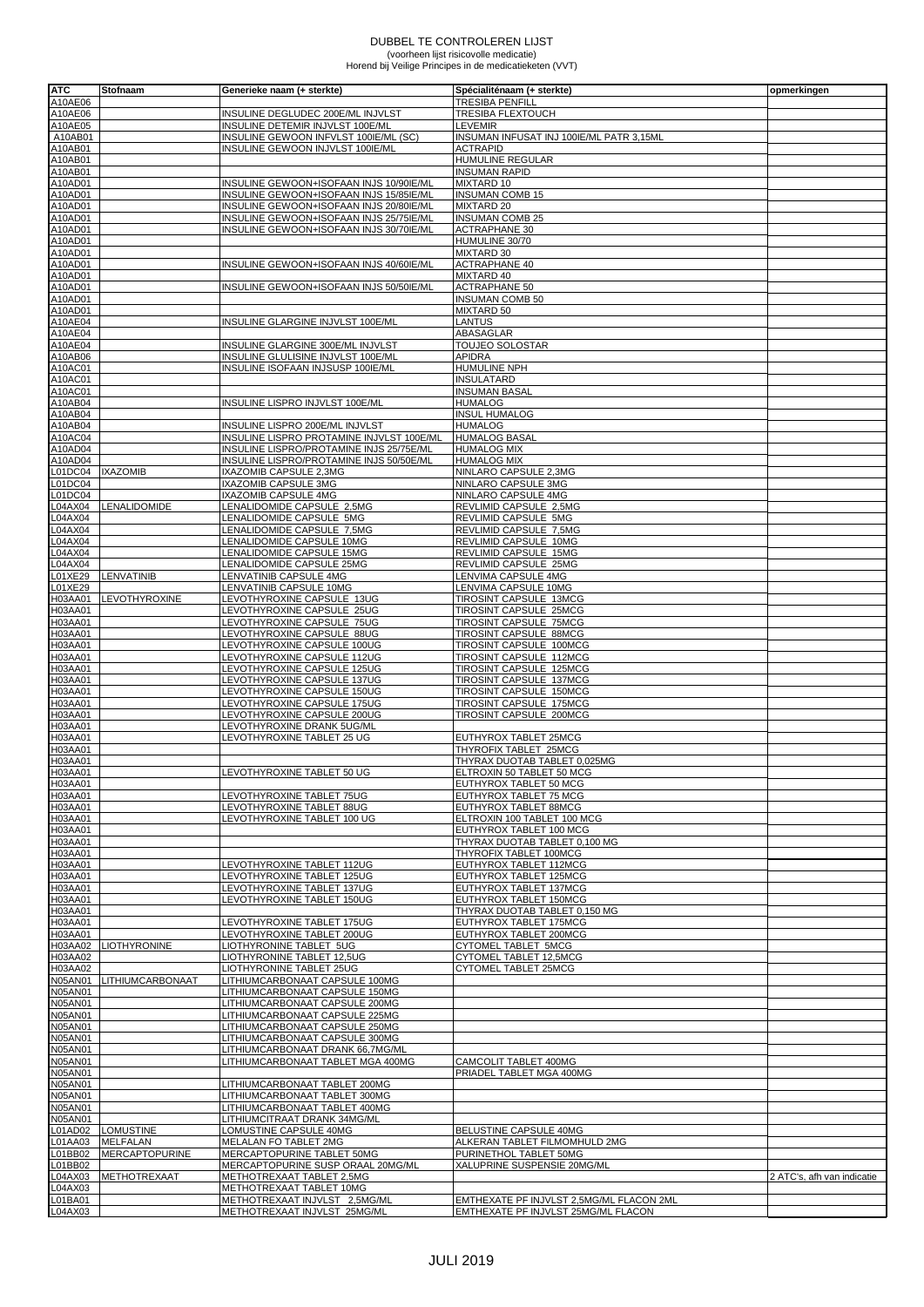## DUBBEL TE CONTROLEREN LIJST (voorheen lijst risicovolle medicatie) Horend bij Veilige Principes in de medicatieketen (VVT)

| <b>ATC</b>                | Stofnaam                            | Generieke naam (+ sterkte)                                                         | Spécialiténaam (+ sterkte)                                                      | opmerkingen                |
|---------------------------|-------------------------------------|------------------------------------------------------------------------------------|---------------------------------------------------------------------------------|----------------------------|
| A10AE06                   |                                     |                                                                                    | <b>TRESIBA PENFILL</b>                                                          |                            |
| A10AE06                   |                                     | INSULINE DEGLUDEC 200E/ML INJVLST                                                  | TRESIBA FLEXTOUCH                                                               |                            |
| A10AE05                   |                                     | INSULINE DETEMIR INJVLST 100E/ML                                                   | <b>LEVEMIR</b>                                                                  |                            |
| A10AB01                   |                                     | INSULINE GEWOON INFVLST 100IE/ML (SC)                                              | INSUMAN INFUSAT INJ 100IE/ML PATR 3,15ML                                        |                            |
| A10AB01<br>A10AB01        |                                     | INSULINE GEWOON INJVLST 100IE/ML                                                   | <b>ACTRAPID</b><br>HUMULINE REGULAR                                             |                            |
| A10AB01                   |                                     |                                                                                    | <b>INSUMAN RAPID</b>                                                            |                            |
| A10AD01                   |                                     | INSULINE GEWOON+ISOFAAN INJS 10/90IE/ML                                            | <b>MIXTARD 10</b>                                                               |                            |
| A10AD01                   |                                     | INSULINE GEWOON+ISOFAAN INJS 15/85IE/ML                                            | <b>INSUMAN COMB 15</b>                                                          |                            |
| A10AD01                   |                                     | INSULINE GEWOON+ISOFAAN INJS 20/80IE/ML                                            | <b>MIXTARD 20</b>                                                               |                            |
| A10AD01<br>A10AD01        |                                     | INSULINE GEWOON+ISOFAAN INJS 25/75IE/ML<br>INSULINE GEWOON+ISOFAAN INJS 30/70IE/ML | <b>INSUMAN COMB 25</b><br><b>ACTRAPHANE 30</b>                                  |                            |
| A10AD01                   |                                     |                                                                                    | HUMULINE 30/70                                                                  |                            |
| A10AD01                   |                                     |                                                                                    | <b>MIXTARD 30</b>                                                               |                            |
| A10AD01                   |                                     | INSULINE GEWOON+ISOFAAN INJS 40/60IE/ML                                            | <b>ACTRAPHANE 40</b>                                                            |                            |
| A10AD01                   |                                     |                                                                                    | <b>MIXTARD 40</b>                                                               |                            |
| A10AD01<br>A10AD01        |                                     | INSULINE GEWOON+ISOFAAN INJS 50/50IE/ML                                            | <b>ACTRAPHANE 50</b><br><b>INSUMAN COMB 50</b>                                  |                            |
| A10AD01                   |                                     |                                                                                    | <b>MIXTARD 50</b>                                                               |                            |
| A10AE04                   |                                     | INSULINE GLARGINE INJVLST 100E/ML                                                  | LANTUS                                                                          |                            |
| A10AE04                   |                                     |                                                                                    | ABASAGLAR                                                                       |                            |
| A10AE04                   |                                     | INSULINE GLARGINE 300E/ML INJVLST                                                  | <b>TOUJEO SOLOSTAR</b>                                                          |                            |
| A10AB06<br>A10AC01        |                                     | INSULINE GLULISINE INJVLST 100E/ML<br>INSULINE ISOFAAN INJSUSP 100IE/ML            | <b>APIDRA</b><br><b>HUMULINE NPH</b>                                            |                            |
| A10AC01                   |                                     |                                                                                    | <b>INSULATARD</b>                                                               |                            |
| A10AC01                   |                                     |                                                                                    | <b>INSUMAN BASAL</b>                                                            |                            |
| A10AB04                   |                                     | INSULINE LISPRO INJVLST 100E/ML                                                    | <b>HUMALOG</b>                                                                  |                            |
| A10AB04                   |                                     |                                                                                    | <b>INSUL HUMALOG</b>                                                            |                            |
| A10AB04<br>A10AC04        |                                     | INSULINE LISPRO 200E/ML INJVLST<br>INSULINE LISPRO PROTAMINE INJVLST 100E/ML       | <b>HUMALOG</b><br><b>HUMALOG BASAL</b>                                          |                            |
| A10AD04                   |                                     | INSULINE LISPRO/PROTAMINE INJS 25/75E/ML                                           | <b>HUMALOG MIX</b>                                                              |                            |
| A10AD04                   |                                     | INSULINE LISPRO/PROTAMINE INJS 50/50E/ML                                           | <b>HUMALOG MIX</b>                                                              |                            |
| L01DC04                   | <b>IXAZOMIB</b>                     | IXAZOMIB CAPSULE 2,3MG                                                             | NINLARO CAPSULE 2,3MG                                                           |                            |
| L01DC04                   |                                     | IXAZOMIB CAPSULE 3MG                                                               | NINLARO CAPSULE 3MG                                                             |                            |
| L01DC04<br>L04AX04        | <b>LENALIDOMIDE</b>                 | <b>IXAZOMIB CAPSULE 4MG</b><br>LENALIDOMIDE CAPSULE 2,5MG                          | NINLARO CAPSULE 4MG<br>REVLIMID CAPSULE 2,5MG                                   |                            |
| L04AX04                   |                                     | LENALIDOMIDE CAPSULE 5MG                                                           | REVLIMID CAPSULE 5MG                                                            |                            |
| L04AX04                   |                                     | LENALIDOMIDE CAPSULE 7,5MG                                                         | REVLIMID CAPSULE 7,5MG                                                          |                            |
| L04AX04                   |                                     | LENALIDOMIDE CAPSULE 10MG                                                          | REVLIMID CAPSULE 10MG                                                           |                            |
| L04AX04                   |                                     | LENALIDOMIDE CAPSULE 15MG                                                          | REVLIMID CAPSULE 15MG                                                           |                            |
| L04AX04<br>L01XE29        | LENVATINIB                          | LENALIDOMIDE CAPSULE 25MG<br>LENVATINIB CAPSULE 4MG                                | REVLIMID CAPSULE 25MG<br>LENVIMA CAPSULE 4MG                                    |                            |
| L01XE29                   |                                     | LENVATINIB CAPSULE 10MG                                                            | LENVIMA CAPSULE 10MG                                                            |                            |
| H03AA01                   | LEVOTHYROXINE                       | LEVOTHYROXINE CAPSULE 13UG                                                         | <b>TIROSINT CAPSULE 13MCG</b>                                                   |                            |
| H03AA01                   |                                     | LEVOTHYROXINE CAPSULE 25UG                                                         | TIROSINT CAPSULE 25MCG                                                          |                            |
| H03AA01                   |                                     | LEVOTHYROXINE CAPSULE 75UG                                                         | TIROSINT CAPSULE 75MCG                                                          |                            |
| H03AA01<br>H03AA01        |                                     | LEVOTHYROXINE CAPSULE 88UG<br>LEVOTHYROXINE CAPSULE 100UG                          | TIROSINT CAPSULE 88MCG<br><b>TIROSINT CAPSULE 100MCG</b>                        |                            |
| H03AA01                   |                                     | LEVOTHYROXINE CAPSULE 112UG                                                        | TIROSINT CAPSULE 112MCG                                                         |                            |
| H03AA01                   |                                     | LEVOTHYROXINE CAPSULE 125UG                                                        | TIROSINT CAPSULE 125MCG                                                         |                            |
| H03AA01                   |                                     | LEVOTHYROXINE CAPSULE 137UG                                                        | TIROSINT CAPSULE 137MCG                                                         |                            |
| H03AA01                   |                                     | <b>EVOTHYROXINE CAPSULE 150UG</b>                                                  | <b>TIROSINT CAPSULE 150MCG</b>                                                  |                            |
| H03AA01<br>H03AA01        |                                     | LEVOTHYROXINE CAPSULE 175UG                                                        | TIROSINT CAPSULE 175MCG<br>TIROSINT CAPSULE 200MCG                              |                            |
| H03AA01                   |                                     | LEVOTHYROXINE CAPSULE 200UG<br>LEVOTHYROXINE DRANK 5UG/ML                          |                                                                                 |                            |
| H03AA01                   |                                     | <b>EVOTHYROXINE TABLET 25 UG</b>                                                   | EUTHYROX TABLET 25MCG                                                           |                            |
| H03AA01                   |                                     |                                                                                    | THYROFIX TABLET 25MCG                                                           |                            |
| H03AA01                   |                                     |                                                                                    | THYRAX DUOTAB TABLET 0,025MG                                                    |                            |
| H03AA01<br>H03AA01        |                                     | LEVOTHYROXINE TABLET 50 UG                                                         | ELTROXIN 50 TABLET 50 MCG                                                       |                            |
| H03AA01                   |                                     | LEVOTHYROXINE TABLET 75UG                                                          | EUTHYROX TABLET 50 MCG<br>EUTHYROX TABLET 75 MCG                                |                            |
| H03AA01                   |                                     | LEVOTHYROXINE TABLET 88UG                                                          | EUTHYROX TABLET 88MCG                                                           |                            |
| H03AA01                   |                                     | LEVOTHYROXINE TABLET 100 UG                                                        | ELTROXIN 100 TABLET 100 MCG                                                     |                            |
| H03AA01                   |                                     |                                                                                    | EUTHYROX TABLET 100 MCG                                                         |                            |
| H03AA01                   |                                     |                                                                                    | THYRAX DUOTAB TABLET 0,100 MG                                                   |                            |
| H03AA01<br>H03AA01        |                                     | LEVOTHYROXINE TABLET 112UG                                                         | THYROFIX TABLET 100MCG<br>EUTHYROX TABLET 112MCG                                |                            |
| H03AA01                   |                                     | LEVOTHYROXINE TABLET 125UG                                                         | EUTHYROX TABLET 125MCG                                                          |                            |
| H03AA01                   |                                     | LEVOTHYROXINE TABLET 137UG                                                         | EUTHYROX TABLET 137MCG                                                          |                            |
| H03AA01                   |                                     | LEVOTHYROXINE TABLET 150UG                                                         | EUTHYROX TABLET 150MCG                                                          |                            |
| H03AA01<br>H03AA01        |                                     | LEVOTHYROXINE TABLET 175UG                                                         | THYRAX DUOTAB TABLET 0,150 MG                                                   |                            |
| H03AA01                   |                                     | LEVOTHYROXINE TABLET 200UG                                                         | EUTHYROX TABLET 175MCG<br>EUTHYROX TABLET 200MCG                                |                            |
| H03AA02                   | <b>LIOTHYRONINE</b>                 | LIOTHYRONINE TABLET 5UG                                                            | CYTOMEL TABLET 5MCG                                                             |                            |
| H03AA02                   |                                     | LIOTHYRONINE TABLET 12,5UG                                                         | CYTOMEL TABLET 12,5MCG                                                          |                            |
| H03AA02                   |                                     | LIOTHYRONINE TABLET 25UG                                                           | <b>CYTOMEL TABLET 25MCG</b>                                                     |                            |
| N05AN01                   | LITHIUMCARBONAAT                    | LITHIUMCARBONAAT CAPSULE 100MG                                                     |                                                                                 |                            |
| <b>N05AN01</b><br>N05AN01 |                                     | LITHIUMCARBONAAT CAPSULE 150MG<br>LITHIUMCARBONAAT CAPSULE 200MG                   |                                                                                 |                            |
| <b>N05AN01</b>            |                                     | LITHIUMCARBONAAT CAPSULE 225MG                                                     |                                                                                 |                            |
| N05AN01                   |                                     | LITHIUMCARBONAAT CAPSULE 250MG                                                     |                                                                                 |                            |
| <b>N05AN01</b>            |                                     | LITHIUMCARBONAAT CAPSULE 300MG                                                     |                                                                                 |                            |
| <b>N05AN01</b>            |                                     | LITHIUMCARBONAAT DRANK 66,7MG/ML                                                   |                                                                                 |                            |
| <b>N05AN01</b><br>N05AN01 |                                     | LITHIUMCARBONAAT TABLET MGA 400MG                                                  | CAMCOLIT TABLET 400MG<br>PRIADEL TABLET MGA 400MG                               |                            |
| N05AN01                   |                                     | LITHIUMCARBONAAT TABLET 200MG                                                      |                                                                                 |                            |
| N05AN01                   |                                     | LITHIUMCARBONAAT TABLET 300MG                                                      |                                                                                 |                            |
| <b>N05AN01</b>            |                                     | LITHIUMCARBONAAT TABLET 400MG                                                      |                                                                                 |                            |
| <b>N05AN01</b>            |                                     | LITHIUMCITRAAT DRANK 34MG/ML                                                       |                                                                                 |                            |
| L01AD02<br>L01AA03        | <b>LOMUSTINE</b><br><b>MELFALAN</b> | LOMUSTINE CAPSULE 40MG<br>MELALAN FO TABLET 2MG                                    | BELUSTINE CAPSULE 40MG<br>ALKERAN TABLET FILMOMHULD 2MG                         |                            |
| L01BB02                   | <b>MERCAPTOPURINE</b>               | MERCAPTOPURINE TABLET 50MG                                                         | PURINETHOL TABLET 50MG                                                          |                            |
| L01BB02                   |                                     | MERCAPTOPURINE SUSP ORAAL 20MG/ML                                                  | XALUPRINE SUSPENSIE 20MG/ML                                                     |                            |
| L04AX03                   | <b>METHOTREXAAT</b>                 | METHOTREXAAT TABLET 2,5MG                                                          |                                                                                 | 2 ATC's, afh van indicatie |
| L04AX03                   |                                     | METHOTREXAAT TABLET 10MG                                                           |                                                                                 |                            |
| L01BA01<br>L04AX03        |                                     | METHOTREXAAT INJVLST 2,5MG/ML<br>METHOTREXAAT INJVLST 25MG/ML                      | EMTHEXATE PF INJVLST 2,5MG/ML FLACON 2ML<br>EMTHEXATE PF INJVLST 25MG/ML FLACON |                            |